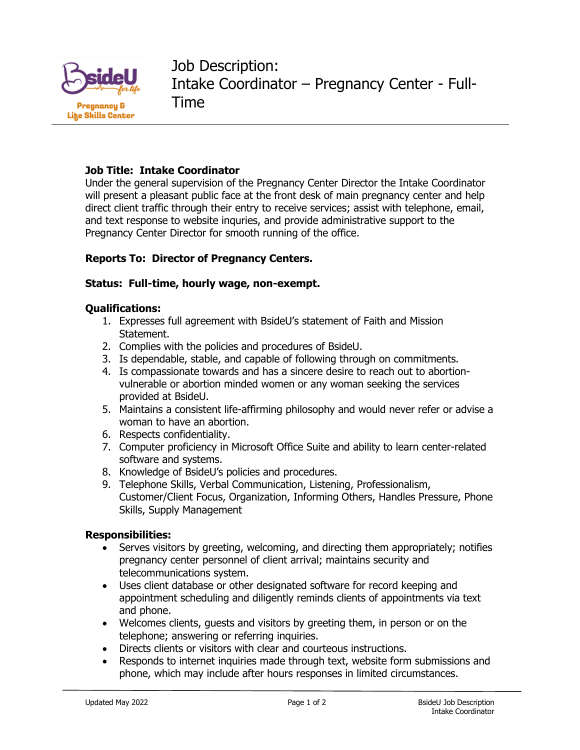

Job Description: Intake Coordinator – Pregnancy Center - Full-Time

# **Job Title: Intake Coordinator**

Under the general supervision of the Pregnancy Center Director the Intake Coordinator will present a pleasant public face at the front desk of main pregnancy center and help direct client traffic through their entry to receive services; assist with telephone, email, and text response to website inquries, and provide administrative support to the Pregnancy Center Director for smooth running of the office.

## **Reports To: Director of Pregnancy Centers.**

## **Status: Full-time, hourly wage, non-exempt.**

#### **Qualifications:**

- 1. Expresses full agreement with BsideU's statement of Faith and Mission Statement.
- 2. Complies with the policies and procedures of BsideU.
- 3. Is dependable, stable, and capable of following through on commitments.
- 4. Is compassionate towards and has a sincere desire to reach out to abortionvulnerable or abortion minded women or any woman seeking the services provided at BsideU.
- 5. Maintains a consistent life-affirming philosophy and would never refer or advise a woman to have an abortion.
- 6. Respects confidentiality.
- 7. Computer proficiency in Microsoft Office Suite and ability to learn center-related software and systems.
- 8. Knowledge of BsideU's policies and procedures.
- 9. Telephone Skills, Verbal Communication, Listening, Professionalism, Customer/Client Focus, Organization, Informing Others, Handles Pressure, Phone Skills, Supply Management

#### **Responsibilities:**

- Serves visitors by greeting, welcoming, and directing them appropriately; notifies pregnancy center personnel of client arrival; maintains security and telecommunications system.
- Uses client database or other designated software for record keeping and appointment scheduling and diligently reminds clients of appointments via text and phone.
- Welcomes clients, guests and visitors by greeting them, in person or on the telephone; answering or referring inquiries.
- Directs clients or visitors with clear and courteous instructions.
- Responds to internet inquiries made through text, website form submissions and phone, which may include after hours responses in limited circumstances.